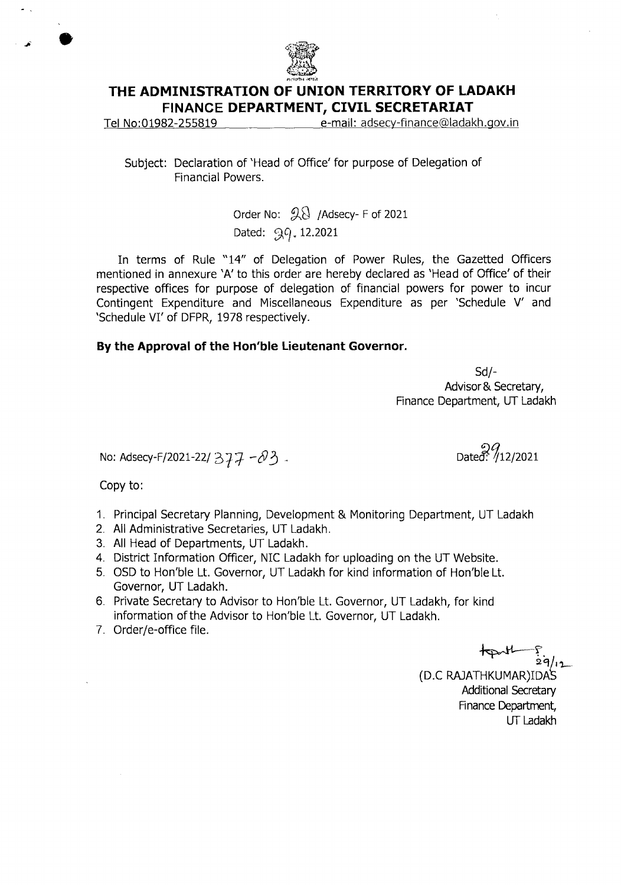

## **THE ADMINISTRATION OF UNION TERRITORY OF LADAKH FINANCE DEPARTMENT, CIVIL SECRETARIAT**

Tel No:01982-255819 e-mail: adsecy-finance@ladakh.gov.in

Subject: Declaration of 'Head of Office' for purpose of Delegation of Financial Powers.

> Order No:  $\mathcal{R}$  /Adsecy- F of 2021 Dated: 99, 12.2021

In terms of Rule "14" of Delegation of Power Rules, the Gazetted Officers mentioned in annexure 'A' to this order are hereby declared as 'Head of Office' of their respective offices for purpose of delegation of financial powers for power to incur Contingent Expenditure and Miscellaneous Expenditure as per 'Schedule V' and 'Schedule VI' of DFPR, 1978 respectively.

### **By the Approval of the Hon'ble Lieutenant Governor.**

Sd/-Advisor & Secretary, Finance Department, UT Ladakh

No: Adsecy-F/2021-22/  $377 - 03$ .<br>Dated: /12/2021

Copy to:

- 1. Principal Secretary Planning, Development & Monitoring Department, UT Ladakh
- 2. All Administrative Secretaries, UT Ladakh.
- 3. All Head of Departments, UT Ladakh.
- 4. District Information Officer, NIC Ladakh for uploading on the UT Website.
- 5. OSD to Hon'ble Lt. Governor, UT Ladakh for kind information of Hon'ble Lt. Governor, UT Ladakh.
- 6. Private Secretary to Advisor to Hon'ble Lt. Governor, UT Ladakh, for kind information of the Advisor to Hon'ble Lt. Governor, UT Ladakh.
- 7. Order/e-office file.

1-- (D.0 RAJATHKUMAR)IDAS Additional Secretary Finance Department, UT Ladakh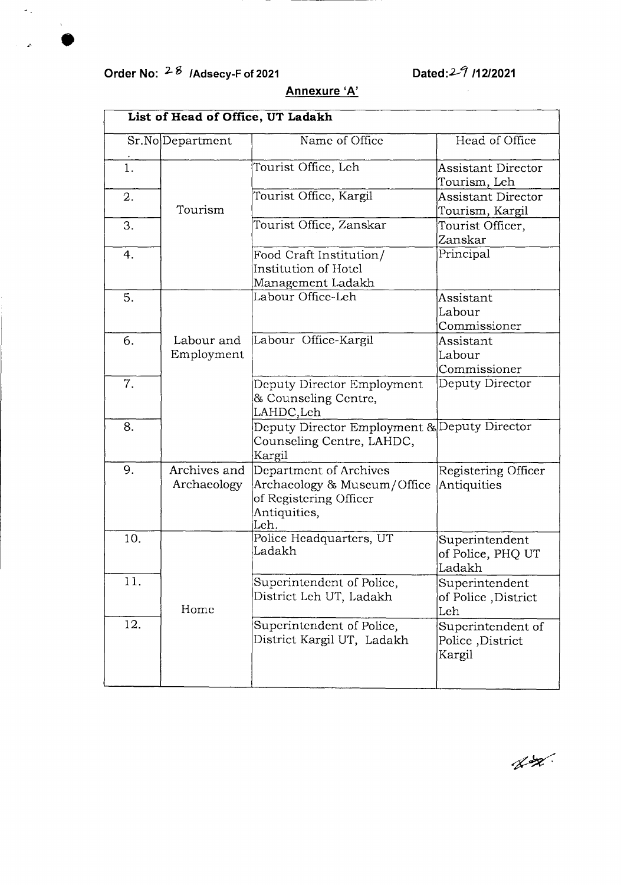# **Order No: <sup>2-8</sup> /Adsecy-F of 2021 Dated:**2-7 **/12/2021**

 $\tilde{\mathcal{L}}_{\infty}$ 

j.

 $\chi$ 

| List of Head of Office, UT Ladakh |                             |                                                                                                         |                                                 |
|-----------------------------------|-----------------------------|---------------------------------------------------------------------------------------------------------|-------------------------------------------------|
|                                   | Sr.No Department            | Name of Office                                                                                          | Head of Office                                  |
| $\mathbf{1}$ .                    |                             | Tourist Office, Leh                                                                                     | <b>Assistant Director</b><br>Tourism, Leh       |
| 2.                                | Tourism                     | Tourist Office, Kargil                                                                                  | <b>Assistant Director</b><br>Tourism, Kargil    |
| 3.                                |                             | Tourist Office, Zanskar                                                                                 | Tourist Officer,<br>Zanskar                     |
| 4.                                |                             | Food Craft Institution/<br>Institution of Hotel<br>Management Ladakh                                    | Principal                                       |
| 5.                                |                             | Labour Office-Leh                                                                                       | Assistant<br>Labour<br>Commissioner             |
| 6.                                | Labour and<br>Employment    | Labour Office-Kargil                                                                                    | Assistant<br>Labour<br>Commissioner             |
| 7.                                |                             | Deputy Director Employment<br>& Counseling Centre,<br>LAHDC,Leh                                         | Deputy Director                                 |
| 8.                                |                             | Deputy Director Employment & Deputy Director<br>Counseling Centre, LAHDC,<br>Kargil                     |                                                 |
| 9.                                | Archives and<br>Archaeology | Department of Archives<br>Archaeology & Museum/Office<br>of Registering Officer<br>Antiquities,<br>Leh. | Registering Officer<br>Antiquities              |
| 10.                               |                             | Police Headquarters, UT<br>Ladakh                                                                       | Superintendent<br>of Police, PHQ UT<br>Ladakh   |
| 11.                               | Home                        | Superintendent of Police,<br>District Leh UT, Ladakh                                                    | Superintendent<br>of Police, District<br>Leh    |
| 12.                               |                             | Superintendent of Police,<br>District Kargil UT, Ladakh                                                 | Superintendent of<br>Police, District<br>Kargil |

# **Annexure 'A'**

 $\begin{picture}(220,20) \put(0,0){\vector(1,0){10}} \put(15,0){\vector(1,0){10}} \put(15,0){\vector(1,0){10}} \put(15,0){\vector(1,0){10}} \put(15,0){\vector(1,0){10}} \put(15,0){\vector(1,0){10}} \put(15,0){\vector(1,0){10}} \put(15,0){\vector(1,0){10}} \put(15,0){\vector(1,0){10}} \put(15,0){\vector(1,0){10}} \put(15,0){\vector(1,0){10}} \put(15,0){\vector($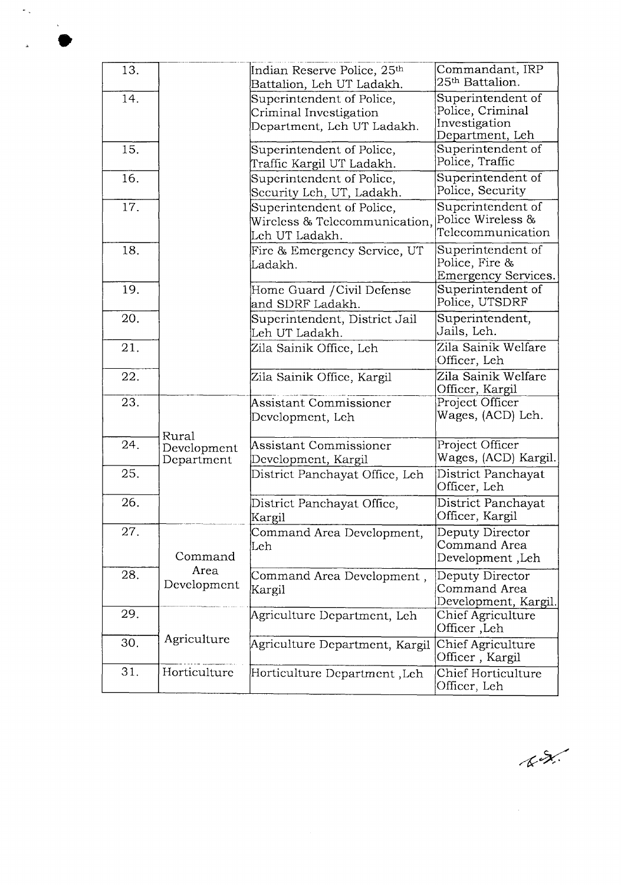| 13. |                                    | Indian Reserve Police, 25 <sup>th</sup><br>Battalion, Leh UT Ladakh.              | Commandant, IRP<br>25 <sup>th</sup> Battalion.                            |
|-----|------------------------------------|-----------------------------------------------------------------------------------|---------------------------------------------------------------------------|
| 14. |                                    | Superintendent of Police,<br>Criminal Investigation<br>Department, Leh UT Ladakh. | Superintendent of<br>Police, Criminal<br>Investigation<br>Department, Leh |
| 15. |                                    | Superintendent of Police,<br>Traffic Kargil UT Ladakh.                            | Superintendent of<br>Police, Traffic                                      |
| 16. |                                    | Superintendent of Police,<br>Security Leh, UT, Ladakh.                            | Superintendent of<br>Police, Security                                     |
| 17. |                                    | Superintendent of Police,<br>Wireless & Telecommunication,<br>Leh UT Ladakh.      | Superintendent of<br>Police Wireless &<br>Telecommunication               |
| 18. |                                    | Fire & Emergency Service, UT<br>Ladakh.                                           | Superintendent of<br>Police, Fire &<br><b>Emergency Services.</b>         |
| 19. |                                    | Home Guard / Civil Defense<br>and SDRF Ladakh.                                    | Superintendent of<br>Police, UTSDRF                                       |
| 20. |                                    | Superintendent, District Jail<br>Leh UT Ladakh.                                   | Superintendent,<br>Jails, Leh.                                            |
| 21. |                                    | Zila Sainik Office, Leh                                                           | Zila Sainik Welfare<br>Officer, Leh                                       |
| 22. |                                    | Zila Sainik Office, Kargil                                                        | Zila Sainik Welfare<br>Officer, Kargil                                    |
| 23. |                                    | <b>Assistant Commissioner</b><br>Development, Leh                                 | Project Officer<br>Wages, (ACD) Leh.                                      |
| 24. | Rural<br>Development<br>Department | Assistant Commissioner<br>Development, Kargil                                     | Project Officer<br>Wages, (ACD) Kargil.                                   |
| 25. |                                    | District Panchayat Office, Leh                                                    | District Panchayat<br>Officer, Leh                                        |
| 26. |                                    | District Panchayat Office,<br>Kargil                                              | District Panchayat<br>Officer, Kargil                                     |
| 27. | Command                            | Command Area Development,<br>Leh                                                  | Deputy Director<br>Command Area<br>Development, Leh                       |
| 28. | Area<br>Development                | Command Area Development,<br>Kargil                                               | Deputy Director<br>Command Area<br>Development, Kargil.                   |
| 29. |                                    | Agriculture Department, Leh                                                       | Chief Agriculture<br>Officer, Leh                                         |
| 30. | Agriculture                        | Agriculture Department, Kargil                                                    | Chief Agriculture<br>Officer, Kargil                                      |
| 31. | Horticulture                       | Horticulture Department ,Leh                                                      | Chief Horticulture<br>Officer, Leh                                        |

÷,

 $k\lambda$ 

 $\mathcal{A}^{\text{max}}_{\text{max}}$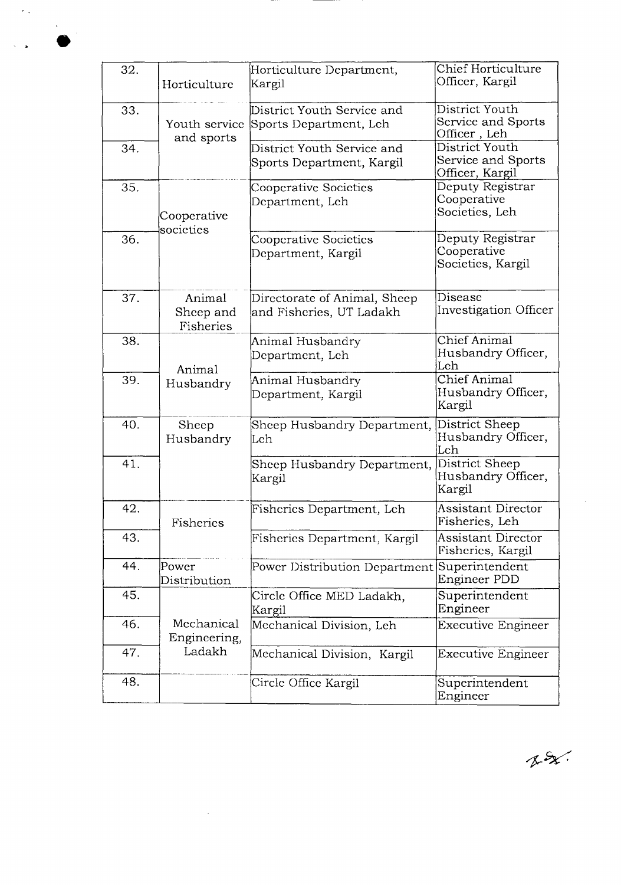| 32. | Horticulture                     | Horticulture Department,<br>Kargil                       | Chief Horticulture<br>Officer, Kargil                   |
|-----|----------------------------------|----------------------------------------------------------|---------------------------------------------------------|
| 33. | Youth service<br>and sports      | District Youth Service and<br>Sports Department, Leh     | District Youth<br>Service and Sports<br>Officer, Leh    |
| 34. |                                  | District Youth Service and<br>Sports Department, Kargil  | District Youth<br>Service and Sports<br>Officer, Kargil |
| 35. | Cooperative<br>societies         | Cooperative Societies<br>Department, Leh                 | Deputy Registrar<br>Cooperative<br>Societies, Leh       |
| 36. |                                  | Cooperative Societies<br>Department, Kargil              | Deputy Registrar<br>Cooperative<br>Societies, Kargil    |
| 37. | Animal<br>Sheep and<br>Fisheries | Directorate of Animal, Sheep<br>and Fisheries, UT Ladakh | Disease<br><b>Investigation Officer</b>                 |
| 38. | Animal                           | Animal Husbandry<br>Department, Leh                      | Chief Animal<br>Husbandry Officer,<br>Leh               |
| 39. | Husbandry                        | Animal Husbandry<br>Department, Kargil                   | Chief Animal<br>Husbandry Officer,<br>Kargil            |
| 40. | Sheep<br>Husbandry               | Sheep Husbandry Department,<br>Leh                       | District Sheep<br>Husbandry Officer,<br>Leh             |
| 41. |                                  | Sheep Husbandry Department,<br>Kargil                    | District Sheep<br>Husbandry Officer,<br>Kargil          |
| 42. | Fisheries                        | Fisheries Department, Leh                                | <b>Assistant Director</b><br>Fisheries, Leh             |
| 43. |                                  | Fisheries Department, Kargil                             | <b>Assistant Director</b><br>Fisheries, Kargil          |
| 44. | Power<br>Distribution            | Power Distribution Department                            | Superintendent<br>Engineer PDD                          |
| 45. |                                  | Circle Office MED Ladakh,<br>Kargil                      | Superintendent<br>Engineer                              |
| 46. | Mechanical<br>Engineering,       | Mechanical Division, Leh                                 | <b>Executive Engineer</b>                               |
| 47. | Ladakh                           | Mechanical Division, Kargil                              | <b>Executive Engineer</b>                               |
| 48. |                                  | Circle Office Kargil                                     | Superintendent<br>Engineer                              |

 $\sim$ 

 $\tilde{\mathcal{C}}_{\infty}$ 

 $\sim$   $\lambda$  $\bullet$ 

 $x = x$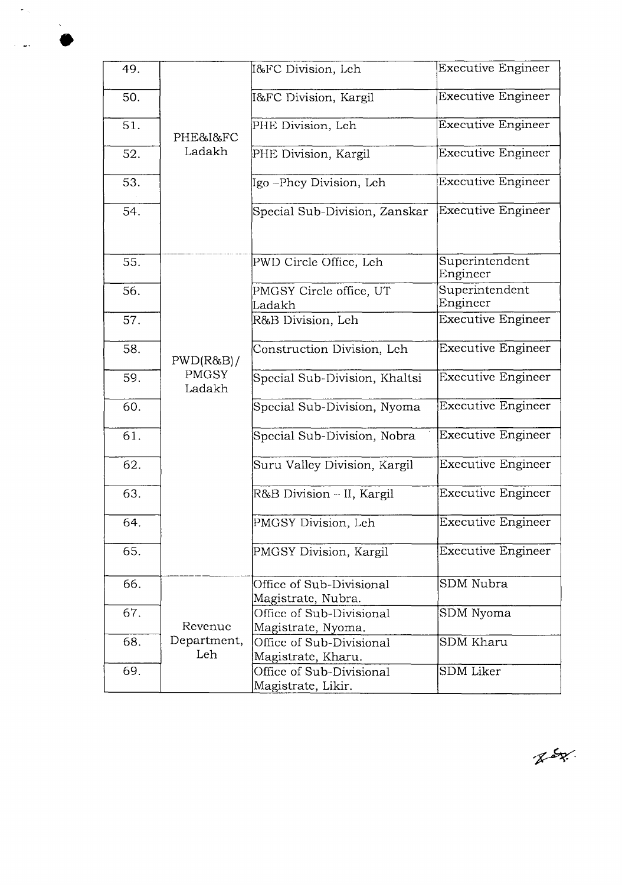| 49. |                        | 1&FC Division, Leh                             | <b>Executive Engineer</b>  |
|-----|------------------------|------------------------------------------------|----------------------------|
| 50. |                        | 1&FC Division, Kargil                          | <b>Executive Engineer</b>  |
| 51. | PHE&I&FC               | PHE Division, Leh                              | <b>Executive Engineer</b>  |
| 52. | Ladakh                 | PHE Division, Kargil                           | <b>Executive Engineer</b>  |
| 53. |                        | Igo –Phey Division, Leh                        | <b>Executive Engineer</b>  |
| 54. |                        | Special Sub-Division, Zanskar                  | <b>Executive Engineer</b>  |
| 55. |                        | PWD Circle Office, Leh                         | Superintendent<br>Engineer |
| 56. |                        | PMGSY Circle office, UT<br>Ladakh              | Superintendent<br>Engineer |
| 57. |                        | R&B Division, Leh                              | <b>Executive Engineer</b>  |
| 58. | PWD(R&B)/              | Construction Division, Leh                     | <b>Executive Engineer</b>  |
| 59. | <b>PMGSY</b><br>Ladakh | Special Sub-Division, Khaltsi                  | <b>Executive Engineer</b>  |
| 60. |                        | Special Sub-Division, Nyoma                    | <b>Executive Engineer</b>  |
| 61. |                        | Special Sub-Division, Nobra                    | <b>Executive Engineer</b>  |
| 62. |                        | Suru Valley Division, Kargil                   | <b>Executive Engineer</b>  |
| 63. |                        | R&B Division -- II, Kargil                     | Executive Engineer         |
| 64. |                        | PMGSY Division, Leh                            | <b>Executive Engineer</b>  |
| 65. |                        | PMGSY Division, Kargil                         | <b>Executive Engineer</b>  |
| 66. |                        | Office of Sub-Divisional<br>Magistrate, Nubra. | SDM Nubra                  |
| 67. | Revenue                | Office of Sub-Divisional<br>Magistrate, Nyoma. | SDM Nyoma                  |
| 68. | Department,<br>Leh     | Office of Sub-Divisional<br>Magistrate, Kharu. | <b>SDM Kharu</b>           |
| 69. |                        | Office of Sub-Divisional<br>Magistrate, Likir. | <b>SDM</b> Liker           |

Rog.

 $\varphi_{\rm{in}}$ 

 $\langle \hat{\mathbf{x}} \rangle$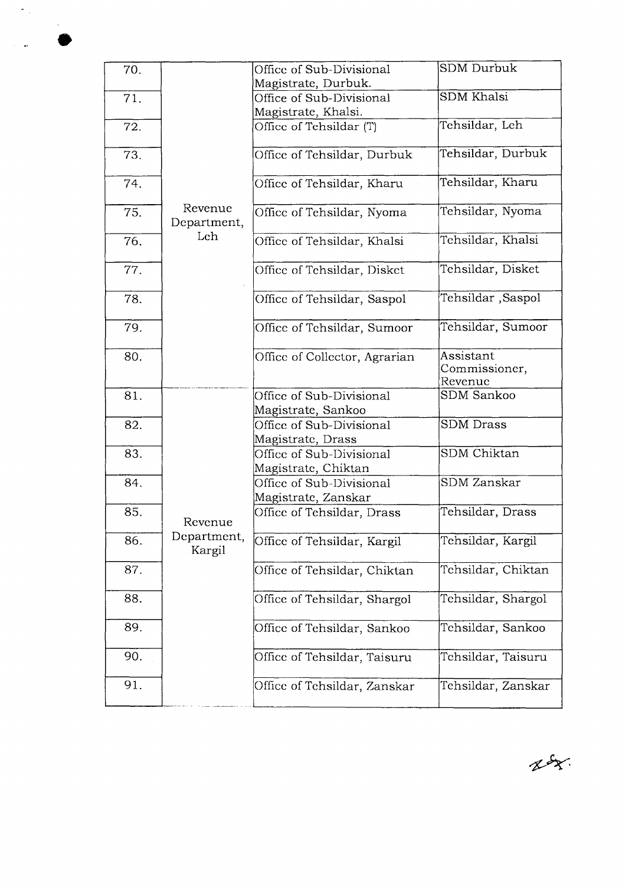| 70. |                        | Office of Sub-Divisional      | <b>SDM</b> Durbuk                     |
|-----|------------------------|-------------------------------|---------------------------------------|
|     |                        | Magistrate, Durbuk.           |                                       |
| 71. |                        | Office of Sub-Divisional      | <b>SDM</b> Khalsi                     |
|     |                        | Magistrate, Khalsi.           |                                       |
| 72. |                        | Office of Tehsildar (T)       | Tehsildar, Leh                        |
| 73. |                        | Office of Tehsildar, Durbuk   | Tehsildar, Durbuk                     |
| 74. |                        | Office of Tehsildar, Kharu    | Tehsildar, Kharu                      |
| 75. | Revenue<br>Department, | Office of Tehsildar, Nyoma    | Tehsildar, Nyoma                      |
| 76. | Leh                    | Office of Tehsildar, Khalsi   | Tehsildar, Khalsi                     |
| 77. |                        | Office of Tehsildar, Disket   | Tehsildar, Disket                     |
| 78. |                        | Office of Tehsildar, Saspol   | Tehsildar ,Saspol                     |
| 79. |                        | Office of Tehsildar, Sumoor   | Tehsildar, Sumoor                     |
| 80. |                        | Office of Collector, Agrarian | Assistant<br>Commissioner,<br>Revenue |
| 81. |                        | Office of Sub-Divisional      | <b>SDM Sankoo</b>                     |
|     |                        | Magistrate, Sankoo            |                                       |
| 82. |                        | Office of Sub-Divisional      | <b>SDM</b> Drass                      |
|     |                        | Magistrate, Drass             |                                       |
| 83. |                        | Office of Sub-Divisional      | SDM Chiktan                           |
|     |                        | Magistrate, Chiktan           |                                       |
| 84. |                        | Office of Sub-Divisional      | <b>SDM</b> Zanskar                    |
|     |                        |                               |                                       |
| 85. |                        | Magistrate, Zanskar           | Tehsildar, Drass                      |
|     | Revenue                | Office of Tehsildar, Drass    |                                       |
| 86. | Department,<br>Kargil  | Office of Tehsildar, Kargil   | Tehsildar, Kargil                     |
| 87. |                        | Office of Tehsildar, Chiktan  | Tehsildar, Chiktan                    |
| 88. |                        | Office of Tehsildar, Shargol  | Tehsildar, Shargol                    |
| 89. |                        | Office of Tehsildar, Sankoo   | Tehsildar, Sankoo                     |
| 90. |                        | Office of Tehsildar, Taisuru  | Tehsildar, Taisuru                    |
| 91. |                        | Office of Tehsildar, Zanskar  | Tehsildar, Zanskar                    |

 $\hat{\gamma}_{\rm eff}$ 

 $\mathcal{A}^{\mathcal{A}}$ 

 $85$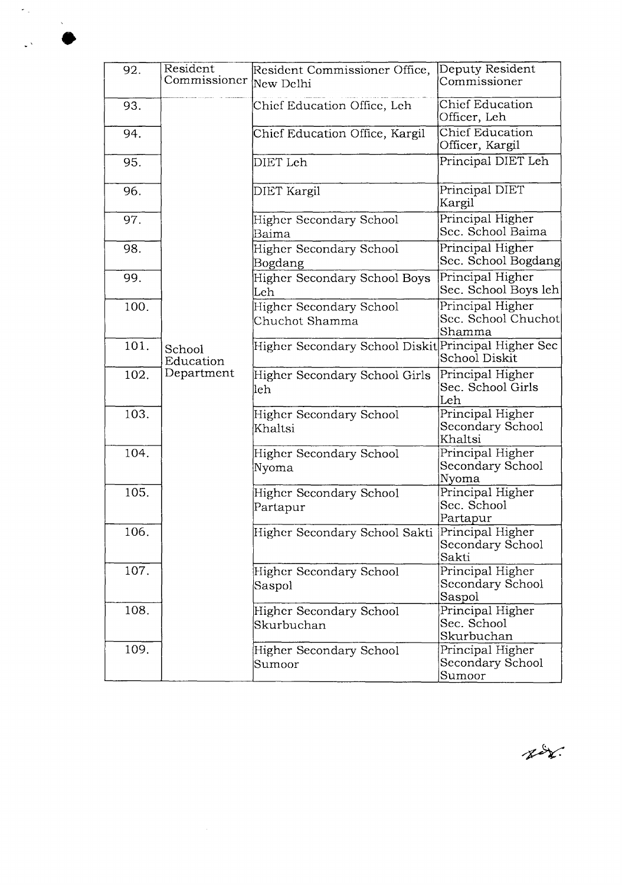| 92.  | Resident               | Resident Commissioner Office,                       | Deputy Resident        |
|------|------------------------|-----------------------------------------------------|------------------------|
|      | Commissioner New Delhi |                                                     | Commissioner           |
|      |                        |                                                     |                        |
| 93.  |                        | Chief Education Office, Leh                         | <b>Chief Education</b> |
|      |                        |                                                     | Officer, Leh           |
| 94.  |                        | Chief Education Office, Kargil                      | Chief Education        |
|      |                        |                                                     | Officer, Kargil        |
|      |                        |                                                     | Principal DIET Leh     |
| 95.  |                        | DIET Leh                                            |                        |
|      |                        |                                                     |                        |
| 96.  |                        | DIET Kargil                                         | Principal DIET         |
|      |                        |                                                     | Kargil                 |
|      |                        |                                                     | Principal Higher       |
| 97.  |                        | Higher Secondary School                             |                        |
|      |                        | Baima                                               | Sec. School Baima      |
| 98.  |                        | Higher Secondary School                             | Principal Higher       |
|      |                        | Bogdang                                             | Sec. School Bogdang    |
|      |                        |                                                     | Principal Higher       |
| 99.  |                        | <b>Higher Secondary School Boys</b>                 |                        |
|      |                        | Leh                                                 | Sec. School Boys leh   |
| 100. |                        | Higher Secondary School                             | Principal Higher       |
|      |                        | Chuchot Shamma                                      | Sec. School Chuchot    |
|      |                        |                                                     | Shamma                 |
| 101. |                        | Higher Secondary School Diskit Principal Higher Sec |                        |
|      | School                 |                                                     |                        |
|      | Education              |                                                     | School Diskit          |
| 102. | Department             | Higher Secondary School Girls                       | Principal Higher       |
|      |                        | leh                                                 | Sec. School Girls      |
|      |                        |                                                     | Leh                    |
| 103. |                        | Higher Secondary School                             | Principal Higher       |
|      |                        | Khaltsi                                             | Secondary School       |
|      |                        |                                                     | Khaltsi                |
|      |                        |                                                     |                        |
| 104. |                        | Higher Secondary School                             | Principal Higher       |
|      |                        | Nyoma                                               | Secondary School       |
|      |                        |                                                     | Nyoma                  |
| 105. |                        | Higher Secondary School                             | Principal Higher       |
|      |                        | Partapur                                            | Sec. School            |
|      |                        |                                                     | Partapur               |
| 106. |                        |                                                     |                        |
|      |                        | Higher Secondary School Sakti Principal Higher      |                        |
|      |                        |                                                     | Secondary School       |
|      |                        |                                                     | Sakti                  |
| 107. |                        | Higher Secondary School                             | Principal Higher       |
|      |                        | Saspol                                              | Secondary School       |
|      |                        |                                                     | Saspol                 |
| 108. |                        | Higher Secondary School                             | Principal Higher       |
|      |                        | Skurbuchan                                          | Sec. School            |
|      |                        |                                                     |                        |
|      |                        |                                                     | Skurbuchan             |
| 109. |                        | Higher Secondary School                             | Principal Higher       |
|      |                        | Sumoor                                              | Secondary School       |
|      |                        |                                                     | Sumoor                 |

 $\hat{\sigma}_{\rm{in}}$ 

 $\sim$   $\sqrt{s}$  $\frac{1}{2}$ 

fir.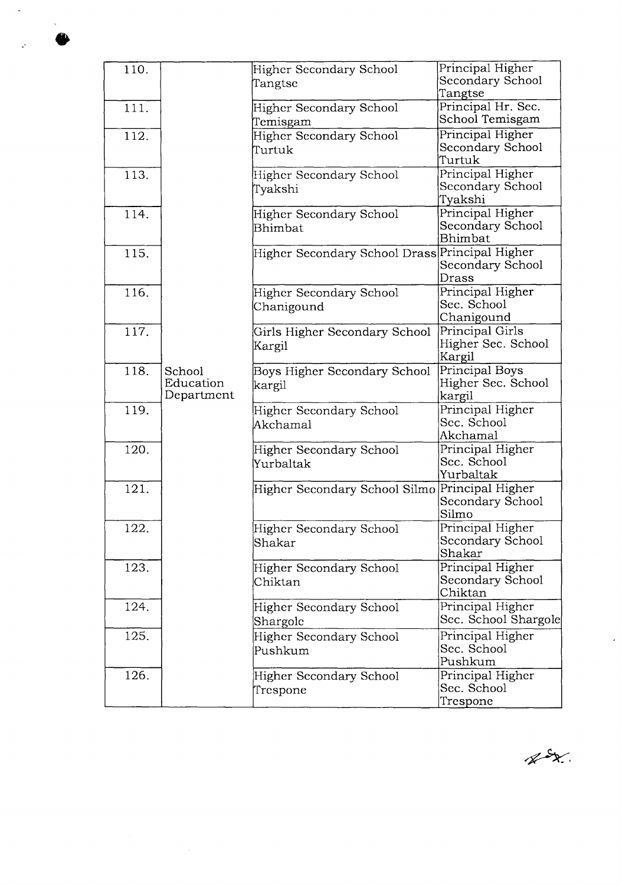| 110. |            | Higher Secondary School                        | Principal Higher     |
|------|------------|------------------------------------------------|----------------------|
|      |            | Tangtse                                        | Secondary School     |
|      |            |                                                | Tangtse              |
| 111. |            | <b>Higher Secondary School</b>                 | Principal Hr. Sec.   |
|      |            | Temisgam                                       | School Temisgam      |
| 112. |            | Higher Secondary School                        | Principal Higher     |
|      |            | Turtuk                                         | Secondary School     |
|      |            |                                                | Turtuk               |
| 113. |            | Higher Secondary School                        | Principal Higher     |
|      |            | Tyakshi                                        | Secondary School     |
|      |            |                                                | Tyakshi              |
| 114. |            | <b>Higher Secondary School</b>                 | Principal Higher     |
|      |            | Bhimbat                                        | Secondary School     |
|      |            |                                                | Bhimbat              |
| 115. |            | Higher Secondary School Drass Principal Higher |                      |
|      |            |                                                | Secondary School     |
|      |            |                                                | Drass                |
| 116. |            | Higher Secondary School                        | Principal Higher     |
|      |            | Chanigound                                     | Sec. School          |
|      |            |                                                | Chanigound           |
| 117. |            | Girls Higher Secondary School                  | Principal Girls      |
|      |            | Kargil                                         | Higher Sec. School   |
|      |            |                                                | Kargil               |
| 118. | School     | Boys Higher Secondary School                   | Principal Boys       |
|      | Education  | kargil                                         | Higher Sec. School   |
|      | Department |                                                | kargil               |
| 119. |            | Higher Secondary School                        | Principal Higher     |
|      |            | Akchamal                                       | Sec. School          |
|      |            |                                                | Akchamal             |
| 120. |            | Higher Secondary School                        | Principal Higher     |
|      |            | Yurbaltak                                      | Sec. School          |
|      |            |                                                | Yurbaltak            |
| 121. |            | Higher Secondary School Silmo                  | Principal Higher     |
|      |            |                                                | Secondary School     |
|      |            |                                                | Silmo                |
| 122. |            | Higher Secondary School                        | Principal Higher     |
|      |            | Shakar                                         | Secondary School     |
|      |            |                                                | Shakar               |
| 123. |            | Higher Secondary School                        | Principal Higher     |
|      |            | Chiktan                                        | Secondary School     |
|      |            |                                                | Chiktan              |
| 124. |            | Higher Secondary School                        | Principal Higher     |
|      |            | Shargolc                                       | Sec. School Shargole |
| 125. |            | Higher Secondary School                        | Principal Higher     |
|      |            | Pushkum                                        | Sec. School          |
|      |            |                                                | Pushkum              |
| 126. |            | Higher Secondary School                        | Principal Higher     |
|      |            | Trespone                                       | Sec. School          |
|      |            |                                                | Trespone             |

 $\begin{picture}(20,20) \put(0,0){\vector(1,0){10}} \put(15,0){\vector(1,0){10}} \put(15,0){\vector(1,0){10}} \put(15,0){\vector(1,0){10}} \put(15,0){\vector(1,0){10}} \put(15,0){\vector(1,0){10}} \put(15,0){\vector(1,0){10}} \put(15,0){\vector(1,0){10}} \put(15,0){\vector(1,0){10}} \put(15,0){\vector(1,0){10}} \put(15,0){\vector(1,0){10}} \put(15,0){\vector(1$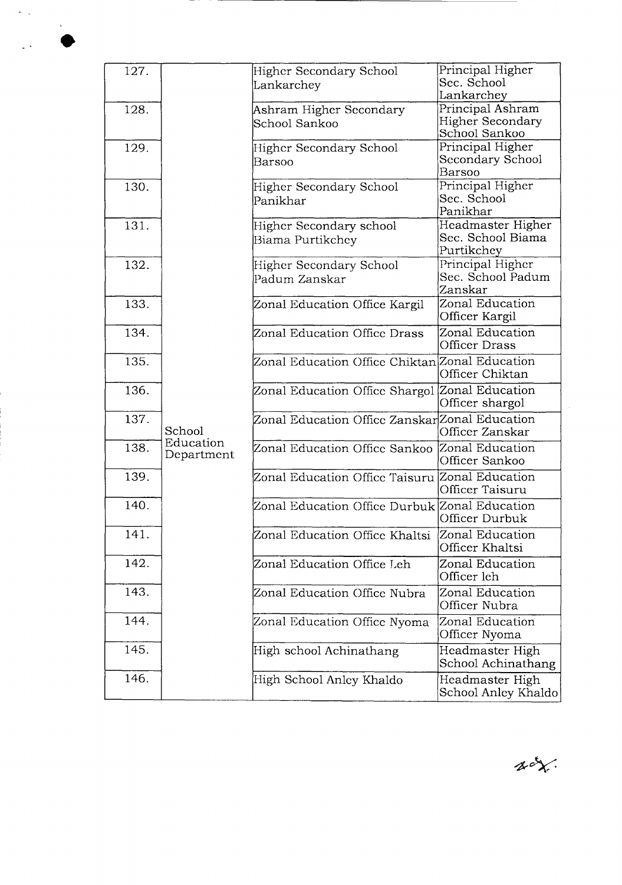| 127. |            | <b>Higher Secondary School</b>                 | Principal Higher    |
|------|------------|------------------------------------------------|---------------------|
|      |            | Lankarchey                                     | Sec. School         |
|      |            |                                                | Lankarchey          |
| 128. |            | Ashram Higher Secondary                        | Principal Ashram    |
|      |            | School Sankoo                                  | Higher Secondary    |
|      |            |                                                | School Sankoo       |
| 129. |            | Higher Secondary School                        | Principal Higher    |
|      |            | Barsoo                                         | Secondary School    |
|      |            |                                                | Barsoo              |
| 130. |            | Higher Secondary School                        | Principal Higher    |
|      |            | Panikhar                                       | Sec. School         |
|      |            |                                                | Panikhar            |
| 131. |            | Higher Secondary school                        | Headmaster Higher   |
|      |            | Biama Purtikchey                               | Sec. School Biama   |
|      |            |                                                | Purtikchey          |
| 132. |            | Higher Secondary School                        | Principal Higher    |
|      |            | Padum Zanskar                                  | Sec. School Padum   |
|      |            |                                                | Zanskar             |
| 133. |            | Zonal Education Office Kargil                  | Zonal Education     |
|      |            |                                                | Officer Kargil      |
| 134. |            | Zonal Education Office Drass                   | Zonal Education     |
|      |            |                                                | Officer Drass       |
| 135. |            | Zonal Education Office Chiktan Zonal Education |                     |
|      |            |                                                | Officer Chiktan     |
|      |            |                                                |                     |
| 136. |            | Zonal Education Office Shargol Zonal Education |                     |
|      |            |                                                | Officer shargol     |
| 137. |            | Zonal Education Office Zanskar Zonal Education |                     |
|      | School     |                                                | Officer Zanskar     |
| 138. | Education  | Zonal Education Office Sankoo Zonal Education  |                     |
|      | Department |                                                | Officer Sankoo      |
| 139. |            | Zonal Education Office Taisuru Zonal Education |                     |
|      |            |                                                | Officer Taisuru     |
| 140. |            | Zonal Education Office Durbuk Zonal Education  |                     |
|      |            |                                                | Officer Durbuk      |
|      |            |                                                |                     |
| 141. |            | Zonal Education Office Khaltsi                 | Zonal Education     |
|      |            |                                                | Officer Khaltsi     |
| 142. |            | Zonal Education Office Leh                     | Zonal Education     |
|      |            |                                                | Officer leh         |
| 143. |            | Zonal Education Office Nubra                   | Zonal Education     |
|      |            |                                                | Officer Nubra       |
| 144. |            | Zonal Education Office Nyoma                   | Zonal Education     |
|      |            |                                                | Officer Nyoma       |
|      |            |                                                |                     |
| 145. |            | High school Achinathang                        | Headmaster High     |
|      |            |                                                | School Achinathang  |
| 146. |            | High School Anley Khaldo                       | Headmaster High     |
|      |            |                                                | School Anley Khaldo |

 $\chi$  or

 $\tilde{\mathcal{C}}_{\text{c},k}$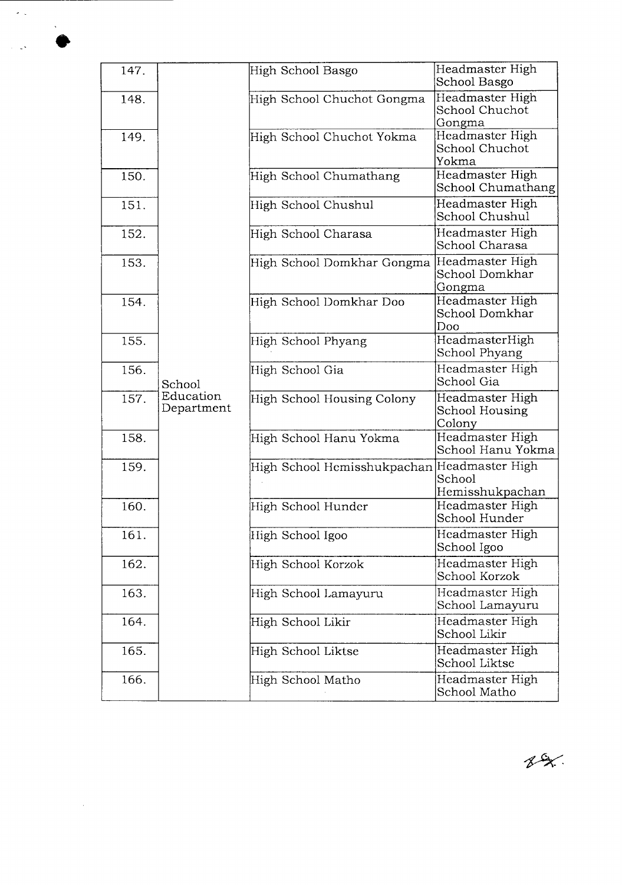| 147. |                         | High School Basgo           | Headmaster High<br>School Basgo              |
|------|-------------------------|-----------------------------|----------------------------------------------|
| 148. |                         | High School Chuchot Gongma  | Headmaster High<br>School Chuchot<br>Gongma  |
| 149. |                         | High School Chuchot Yokma   | Headmaster High<br>School Chuchot<br>Yokma   |
| 150. |                         | High School Chumathang      | Headmaster High<br>School Chumathang         |
| 151. |                         | High School Chushul         | Headmaster High<br>School Chushul            |
| 152. |                         | High School Charasa         | Headmaster High<br>School Charasa            |
| 153. |                         | High School Domkhar Gongma  | Headmaster High<br>School Domkhar<br>Gongma  |
| 154. |                         | High School Domkhar Doo     | Headmaster High<br>School Domkhar<br>Doo     |
| 155. |                         | High School Phyang          | HeadmasterHigh<br>School Phyang              |
| 156. | School                  | High School Gia             | Headmaster High<br>School Gia                |
| 157. | Education<br>Department | High School Housing Colony  | Headmaster High<br>School Housing<br>Colony  |
| 158. |                         | High School Hanu Yokma      | Headmaster High<br>School Hanu Yokma         |
| 159. |                         | High School Hemisshukpachan | Headmaster High<br>School<br>Hemisshukpachan |
| 160. |                         | High School Hunder          | Headmaster High<br>School Hunder             |
| 161. |                         | High School Igoo            | Headmaster High<br>School Igoo               |
| 162. |                         | High School Korzok          | Headmaster High<br>School Korzok             |
| 163. |                         | High School Lamayuru        | Headmaster High<br>School Lamayuru           |
| 164. |                         | High School Likir           | Headmaster High<br>School Likir              |
| 165. |                         | High School Liktse          | Headmaster High<br>School Liktse             |
| 166. |                         | High School Matho           | Headmaster High<br>School Matho              |

 $\hat{\mathcal{S}}_{\text{c}}$ 

 $\Delta \phi$ 

 $\label{eq:2} \frac{1}{\sqrt{2}}\left(\frac{1}{\sqrt{2}}\right)^{2} \left(\frac{1}{\sqrt{2}}\right)^{2} \left(\frac{1}{\sqrt{2}}\right)^{2} \left(\frac{1}{\sqrt{2}}\right)^{2} \left(\frac{1}{\sqrt{2}}\right)^{2} \left(\frac{1}{\sqrt{2}}\right)^{2} \left(\frac{1}{\sqrt{2}}\right)^{2} \left(\frac{1}{\sqrt{2}}\right)^{2} \left(\frac{1}{\sqrt{2}}\right)^{2} \left(\frac{1}{\sqrt{2}}\right)^{2} \left(\frac{1}{\sqrt{2}}\right)^{2} \left(\frac{$ 

 $82.$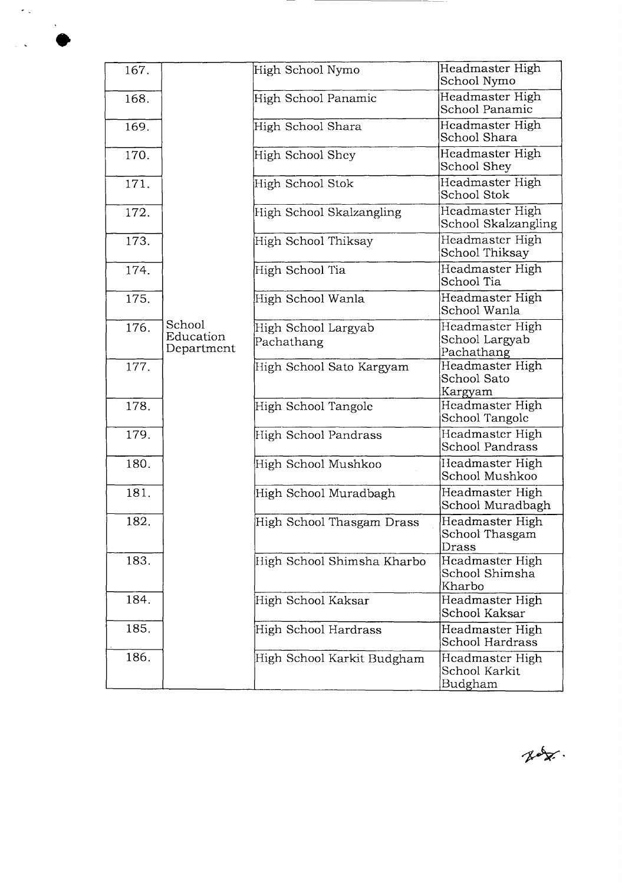| 167. |                                   | High School Nymo                  | Headmaster High<br>School Nymo                  |
|------|-----------------------------------|-----------------------------------|-------------------------------------------------|
| 168. |                                   | High School Panamic               | Headmaster High<br>School Panamic               |
| 169. |                                   | High School Shara                 | Headmaster High<br>School Shara                 |
| 170. |                                   | High School Shey                  | Headmaster High<br>School Shey                  |
| 171. |                                   | High School Stok                  | Headmaster High<br>School Stok                  |
| 172. |                                   | High School Skalzangling          | Headmaster High<br>School Skalzangling          |
| 173. |                                   | High School Thiksay               | Headmaster High<br>School Thiksay               |
| 174. |                                   | High School Tia                   | Headmaster High<br>School Tia                   |
| 175. |                                   | High School Wanla                 | Headmaster High<br>School Wanla                 |
| 176. | School<br>Education<br>Department | High School Largyab<br>Pachathang | Headmaster High<br>School Largyab<br>Pachathang |
| 177. |                                   | High School Sato Kargyam          | Headmaster High<br>School Sato<br>Kargyam       |
| 178. |                                   | High School Tangole               | Headmaster High<br>School Tangole               |
| 179. |                                   | High School Pandrass              | Headmaster High<br><b>School Pandrass</b>       |
| 180. |                                   | High School Mushkoo               | Headmaster High<br>School Mushkoo               |
| 181. |                                   | High School Muradbagh             | Headmaster High<br>School Muradbagh             |
| 182. |                                   | High School Thasgam Drass         | Headmaster High<br>School Thasgam<br>Drass      |
| 183. |                                   | High School Shimsha Kharbo        | Headmaster High<br>School Shimsha<br>Kharbo     |
| 184. |                                   | High School Kaksar                | Headmaster High<br>School Kaksar                |
| 185. |                                   | High School Hardrass              | Headmaster High<br>School Hardrass              |
| 186. |                                   | High School Karkit Budgham        | Headmaster High<br>School Karkit<br>Budgham     |

 $\hat{\mathcal{L}}_{\rm{in}}$ 

Rox.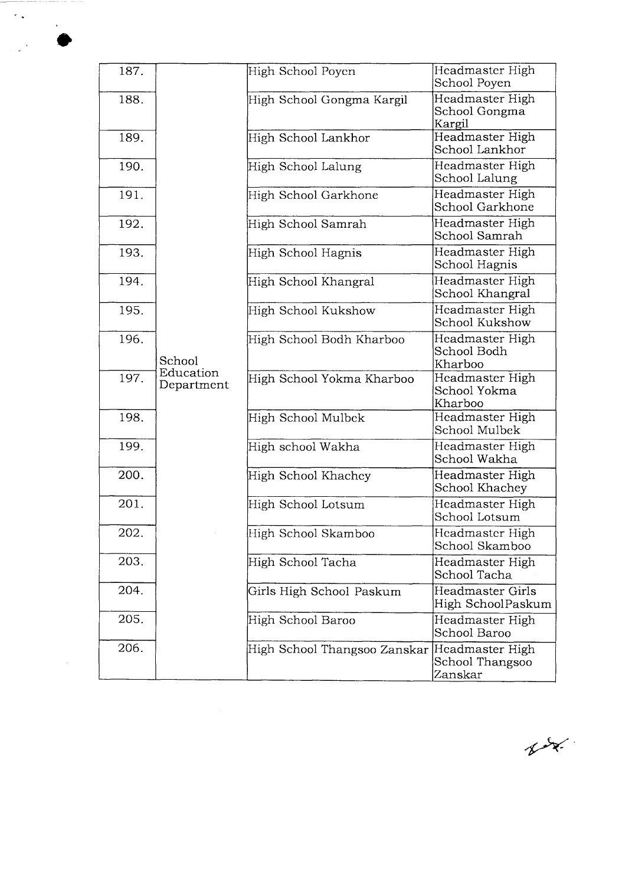| 187. |                         | High School Poyen            | Headmaster High<br>School Poyen               |
|------|-------------------------|------------------------------|-----------------------------------------------|
| 188. |                         | High School Gongma Kargil    | Headmaster High<br>School Gongma<br>Kargil    |
| 189. |                         | High School Lankhor          | Headmaster High<br>School Lankhor             |
| 190. |                         | High School Lalung           | Headmaster High<br>School Lalung              |
| 191. |                         | High School Garkhone         | Headmaster High<br>School Garkhone            |
| 192. |                         | High School Samrah           | Headmaster High<br>School Samrah              |
| 193. |                         | High School Hagnis           | Headmaster High<br>School Hagnis              |
| 194. |                         | High School Khangral         | Headmaster High<br>School Khangral            |
| 195. |                         | High School Kukshow          | Headmaster High<br>School Kukshow             |
| 196. | School                  | High School Bodh Kharboo     | Headmaster High<br>School Bodh<br>Kharboo     |
| 197. | Education<br>Department | High School Yokma Kharboo    | Headmaster High<br>School Yokma<br>Kharboo    |
| 198. |                         | High School Mulbek           | Headmaster High<br>School Mulbek              |
| 199. |                         | High school Wakha            | Headmaster High<br>School Wakha               |
| 200. |                         | High School Khachey          | Headmaster High<br>School Khachey             |
| 201. |                         | High School Lotsum           | Headmaster High<br>School Lotsum              |
| 202. |                         | High School Skamboo          | Headmaster High<br>School Skamboo             |
| 203. |                         | High School Tacha            | Headmaster High<br>School Tacha               |
| 204. |                         | Girls High School Paskum     | Headmaster Girls<br>High SchoolPaskum         |
| 205. |                         | High School Baroo            | Headmaster High<br>School Baroo               |
| 206. |                         | High School Thangsoo Zanskar | Headmaster High<br>School Thangsoo<br>Zanskar |

 $\gamma_{\rm eff}$ 

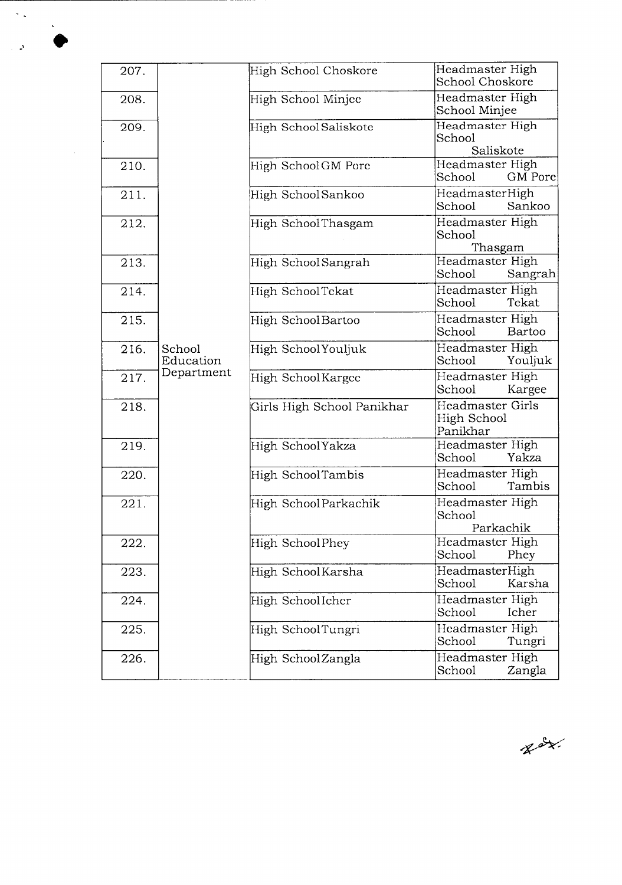| 207. |                     | High School Choskore       | Headmaster High<br>School Choskore                 |
|------|---------------------|----------------------------|----------------------------------------------------|
| 208. |                     | High School Minjee         | Headmaster High<br>School Minjee                   |
| 209. |                     | High SchoolSaliskote       | Headmaster High<br>School                          |
|      |                     |                            | Saliskote                                          |
| 210. |                     | High SchoolGM Porc         | Headmaster High<br>School<br>GM Pore               |
| 211. |                     | High SchoolSankoo          | HeadmasterHigh<br>School<br>Sankoo                 |
| 212. |                     | High SchoolThasgam         | Headmaster High<br>School<br>Thasgam               |
| 213. |                     | High School Sangrah        | Headmaster High<br>School<br>Sangrah               |
| 214. |                     | High SchoolTekat           | Headmaster High<br>School<br>Tekat                 |
| 215. |                     | High SchoolBartoo          | Headmaster High<br>School<br>Bartoo                |
| 216. | School<br>Education | High SchoolYouljuk         | Headmaster High<br>School<br>Youljuk               |
| 217. | Department          | High SchoolKargee          | Headmaster High<br>School<br>Kargee                |
| 218. |                     | Girls High School Panikhar | <b>Headmaster Girls</b><br>High School<br>Panikhar |
| 219. |                     | High SchoolYakza           | Headmaster High<br>Yakza<br>School                 |
| 220. |                     | High SchoolTambis          | Headmaster High<br>Tambis<br>School                |
| 221. |                     | High SchoolParkachik       | Headmaster High<br>School<br>Parkachik             |
| 222. |                     | High SchoolPhey            | Headmaster High<br>School<br>Phey                  |
| 223. |                     | High SchoolKarsha          | HeadmasterHigh<br>Karsha<br>School                 |
| 224. |                     | High SchoolIcher           | Headmaster High<br>School<br>Icher                 |
| 225. |                     | High SchoolTungri          | Headmaster High<br>School<br>Tungri                |
| 226. |                     | High SchoolZangla          | Headmaster High<br>School<br>Zangla                |

 $\hat{\mathcal{S}}_{\infty}$ 

 $\sim 2$ 

 $x = x$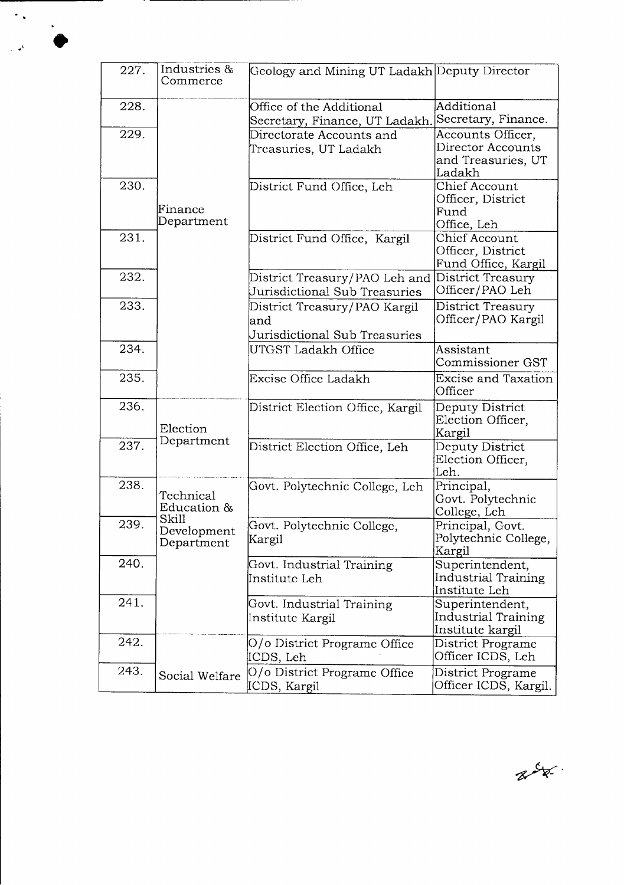| 227. | Industries &<br>Commerce           | Geology and Mining UT Ladakh Deputy Director                         |                                                                        |
|------|------------------------------------|----------------------------------------------------------------------|------------------------------------------------------------------------|
| 228. |                                    | Office of the Additional<br>Secretary, Finance, UT Ladakh.           | Additional<br>Secretary, Finance.                                      |
| 229. |                                    | Directorate Accounts and<br>Treasuries, UT Ladakh                    | Accounts Officer,<br>Director Accounts<br>and Treasuries, UT<br>Ladakh |
| 230. | Finance<br>Department              | District Fund Office, Leh                                            | Chief Account<br>Officer, District<br>Fund<br>Office, Leh              |
| 231. |                                    | District Fund Office, Kargil                                         | <b>Chief Account</b><br>Officer, District<br>Fund Office, Kargil       |
| 232. |                                    | District Treasury/PAO Leh and<br>Jurisdictional Sub Treasuries       | District Treasury<br>Officer/PAO Leh                                   |
| 233. |                                    | District Treasury/PAO Kargil<br>and<br>Jurisdictional Sub Treasuries | District Treasury<br>Officer/PAO Kargil                                |
| 234. |                                    | UTGST Ladakh Office                                                  | Assistant<br>Commissioner GST                                          |
| 235. |                                    | Excise Office Ladakh                                                 | <b>Excise and Taxation</b><br>Officer                                  |
| 236. | Election                           | District Election Office, Kargil                                     | Deputy District<br>Election Officer,<br>Kargil                         |
| 237. | Department                         | District Election Office, Leh                                        | Deputy District<br>Election Officer,<br>Leh.                           |
| 238. | Technical<br>Education &           | Govt. Polytechnic College, Leh                                       | Principal,<br>Govt. Polytechnic<br>College, Leh                        |
| 239. | Skill<br>Development<br>Department | Govt. Polytechnic College,<br>Kargil                                 | Principal, Govt.<br>Polytechnic College,<br>Kargil                     |
| 240. |                                    | Govt. Industrial Training<br>Institute Leh                           | Superintendent,<br><b>Industrial Training</b><br>Institute Leh         |
| 241. |                                    | Govt. Industrial Training<br>Institute Kargil                        | Superintendent,<br><b>Industrial Training</b><br>Institute kargil      |
| 242. |                                    | O/o District Programe Office<br>ICDS, Leh                            | District Programe<br>Officer ICDS, Leh                                 |
| 243. | Social Welfare                     | O/o District Programe Office<br>ICDS, Kargil                         | District Programe<br>Officer ICDS, Kargil.                             |

e

 $\sim 10^{-1}$ 

 $\tilde{\gamma}$  .

 $\mathbb{R}^4$ 

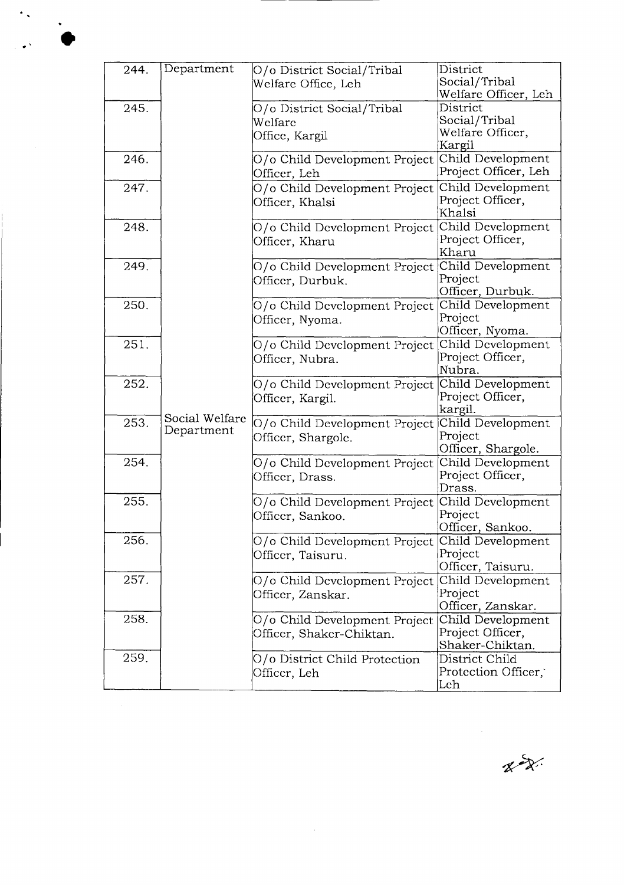| 244. | Department     | O/o District Social/Tribal    | District                     |
|------|----------------|-------------------------------|------------------------------|
|      |                | Welfare Office, Leh           | Social/Tribal                |
|      |                |                               | Welfare Officer, Leh         |
| 245. |                | O/o District Social/Tribal    | District                     |
|      |                | Welfare                       | Social/Tribal                |
|      |                | Office, Kargil                | Welfare Officer,             |
|      |                |                               | Kargil                       |
| 246. |                | O/o Child Development Project | Child Development            |
|      |                | Officer, Leh                  | Project Officer, Leh         |
| 247. |                | O/o Child Development Project | Child Development            |
|      |                | Officer, Khalsi               | Project Officer,             |
|      |                |                               | Khalsi                       |
| 248. |                | O/o Child Development Project | Child Development            |
|      |                | Officer, Kharu                | Project Officer,             |
|      |                |                               | Kharu                        |
| 249. |                | O/o Child Development Project | Child Development            |
|      |                | Officer, Durbuk.              | Project                      |
|      |                |                               | Officer, Durbuk.             |
| 250. |                | O/o Child Development Project | Child Development            |
|      |                | Officer, Nyoma.               | Project                      |
|      |                |                               | Officer, Nyoma.              |
| 251. |                | O/o Child Development Project | Child Development            |
|      |                | Officer, Nubra.               | Project Officer,             |
|      |                |                               | Nubra.                       |
| 252. |                | O/o Child Development Project | Child Development            |
|      |                | Officer, Kargil.              | Project Officer,             |
|      | Social Welfare |                               | kargil.                      |
| 253. | Department     | O/o Child Development Project | Child Development            |
|      |                | Officer, Shargole.            | Project                      |
|      |                |                               | Officer, Shargole.           |
| 254. |                | O/o Child Development Project | Child Development            |
|      |                | Officer, Drass.               | Project Officer,             |
|      |                |                               | Drass.                       |
| 255. |                | O/o Child Development Project | Child Development            |
|      |                | Officer, Sankoo.              | Project                      |
| 256. |                |                               | Officer, Sankoo.             |
|      |                | O/o Child Development Project | Child Development<br>Project |
|      |                | Officer, Taisuru.             | Officer, Taisuru.            |
| 257. |                | O/o Child Development Project | Child Development            |
|      |                |                               | Project                      |
|      |                | Officer, Zanskar.             | Officer, Zanskar.            |
| 258. |                | O/o Child Development Project | Child Development            |
|      |                | Officer, Shaker-Chiktan.      | Project Officer,             |
|      |                |                               | Shaker-Chiktan.              |
| 259. |                | O/o District Child Protection | District Child               |
|      |                | Officer, Leh                  | Protection Officer,          |
|      |                |                               | Leh                          |
|      |                |                               |                              |

 $\begin{picture}(20,20) \put(0,0){\vector(0,1){30}} \put(15,0){\vector(0,1){30}} \put(15,0){\vector(0,1){30}} \put(15,0){\vector(0,1){30}} \put(15,0){\vector(0,1){30}} \put(15,0){\vector(0,1){30}} \put(15,0){\vector(0,1){30}} \put(15,0){\vector(0,1){30}} \put(15,0){\vector(0,1){30}} \put(15,0){\vector(0,1){30}} \put(15,0){\vector(0,1){30}} \put(15,0){\vector(0$ 

 $\ddot{\phantom{1}}$  ,

 $\sqrt{ }$ 

 $\overline{\phantom{a}}$ 

 $\ddot{\phantom{1}}$